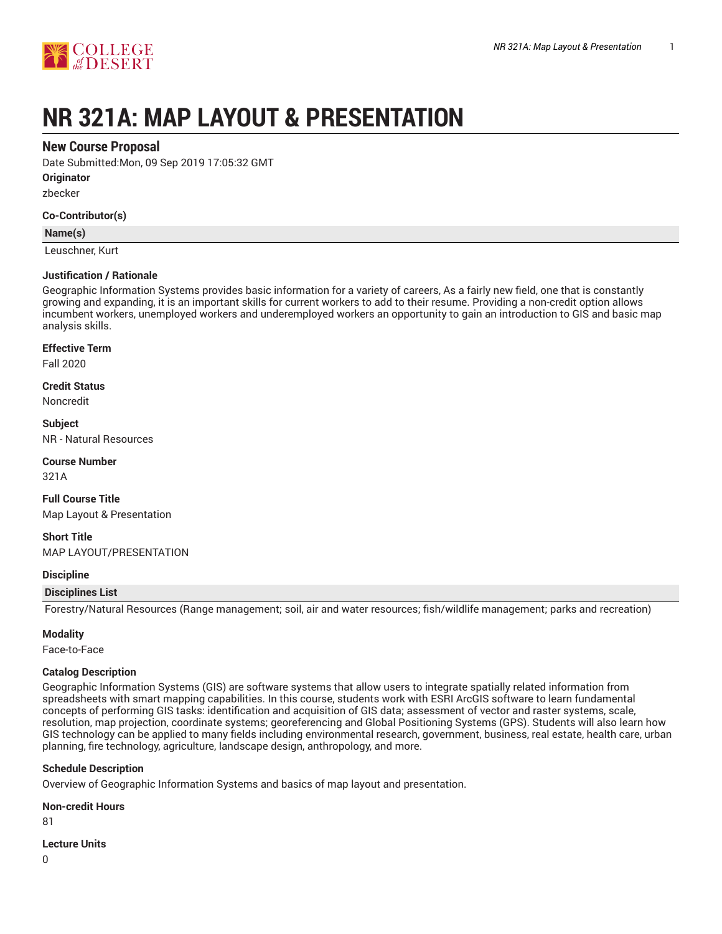

# **NR 321A: MAP LAYOUT & PRESENTATION**

## **New Course Proposal**

Date Submitted:Mon, 09 Sep 2019 17:05:32 GMT

**Originator**

zbecker

## **Co-Contributor(s)**

## **Name(s)**

Leuschner, Kurt

## **Justification / Rationale**

Geographic Information Systems provides basic information for a variety of careers, As a fairly new field, one that is constantly growing and expanding, it is an important skills for current workers to add to their resume. Providing a non-credit option allows incumbent workers, unemployed workers and underemployed workers an opportunity to gain an introduction to GIS and basic map analysis skills.

## **Effective Term**

Fall 2020

**Credit Status** Noncredit

**Subject** NR - Natural Resources

**Course Number** 321A

**Full Course Title** Map Layout & Presentation

**Short Title** MAP LAYOUT/PRESENTATION

## **Discipline**

## **Disciplines List**

Forestry/Natural Resources (Range management; soil, air and water resources; fish/wildlife management; parks and recreation)

## **Modality**

Face-to-Face

## **Catalog Description**

Geographic Information Systems (GIS) are software systems that allow users to integrate spatially related information from spreadsheets with smart mapping capabilities. In this course, students work with ESRI ArcGIS software to learn fundamental concepts of performing GIS tasks: identification and acquisition of GIS data; assessment of vector and raster systems, scale, resolution, map projection, coordinate systems; georeferencing and Global Positioning Systems (GPS). Students will also learn how GIS technology can be applied to many fields including environmental research, government, business, real estate, health care, urban planning, fire technology, agriculture, landscape design, anthropology, and more.

## **Schedule Description**

Overview of Geographic Information Systems and basics of map layout and presentation.

## **Non-credit Hours**

81

**Lecture Units**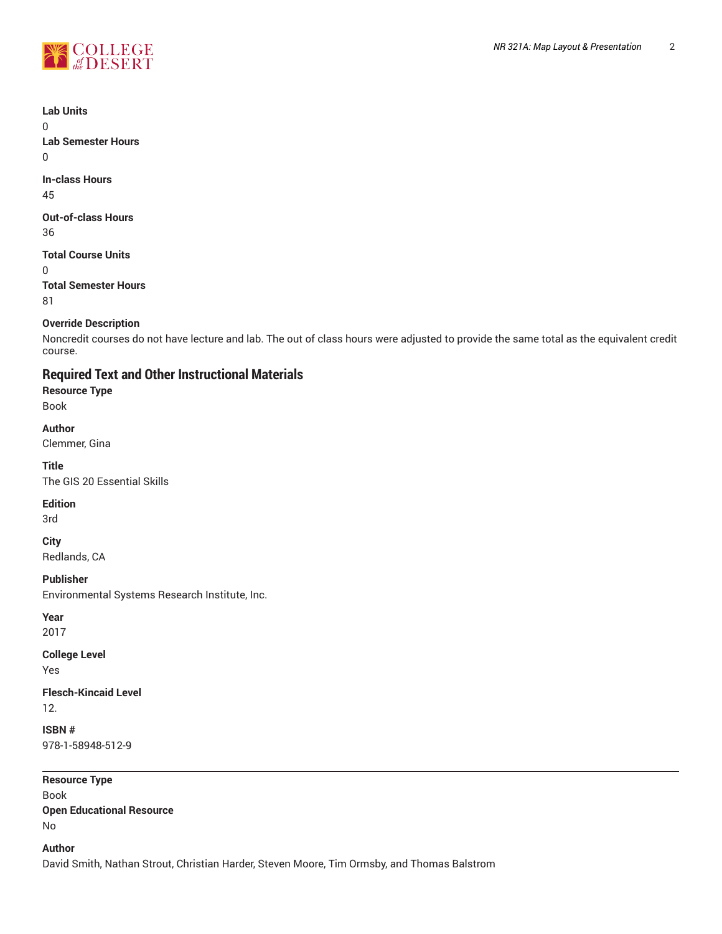

**Lab Units**

 $\Omega$ 

**Lab Semester Hours**  $\Omega$ 

**In-class Hours** 45

**Out-of-class Hours** 36

**Total Course Units** 0 **Total Semester Hours**

81

## **Override Description**

Noncredit courses do not have lecture and lab. The out of class hours were adjusted to provide the same total as the equivalent credit course.

# **Required Text and Other Instructional Materials**

**Resource Type**

Book

## **Author**

Clemmer, Gina

## **Title**

The GIS 20 Essential Skills

**Edition**

3rd

**City**

Redlands, CA

**Publisher**

Environmental Systems Research Institute, Inc.

**Year**

2017

**College Level**

Yes

**Flesch-Kincaid Level** 12.

**ISBN #** 978-1-58948-512-9

**Resource Type** Book **Open Educational Resource** No

**Author**

David Smith, Nathan Strout, Christian Harder, Steven Moore, Tim Ormsby, and Thomas Balstrom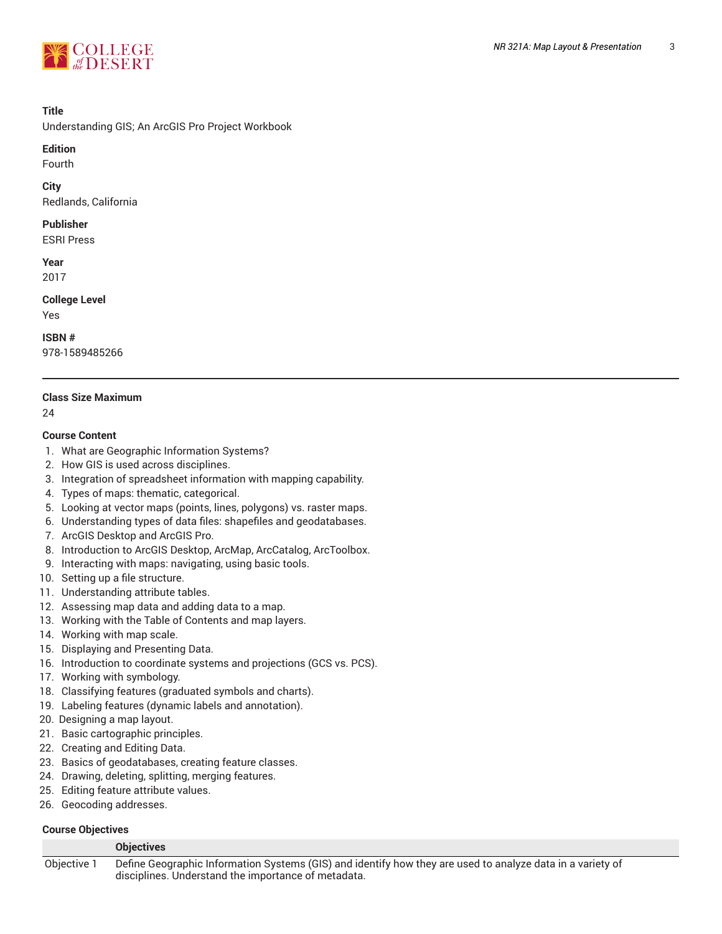

## **Title**

Understanding GIS; An ArcGIS Pro Project Workbook

## **Edition**

Fourth

#### **City**

Redlands, California

## **Publisher**

ESRI Press

# **Year**

2017

## **College Level**

Yes

## **ISBN #**

978-1589485266

## **Class Size Maximum**

24

## **Course Content**

- 1. What are Geographic Information Systems?
- 2. How GIS is used across disciplines.
- 3. Integration of spreadsheet information with mapping capability.
- 4. Types of maps: thematic, categorical.
- 5. Looking at vector maps (points, lines, polygons) vs. raster maps.
- 6. Understanding types of data files: shapefiles and geodatabases.
- 7. ArcGIS Desktop and ArcGIS Pro.
- 8. Introduction to ArcGIS Desktop, ArcMap, ArcCatalog, ArcToolbox.
- 9. Interacting with maps: navigating, using basic tools.
- 10. Setting up a file structure.
- 11. Understanding attribute tables.
- 12. Assessing map data and adding data to a map.
- 13. Working with the Table of Contents and map layers.
- 14. Working with map scale.
- 15. Displaying and Presenting Data.
- 16. Introduction to coordinate systems and projections (GCS vs. PCS).
- 17. Working with symbology.
- 18. Classifying features (graduated symbols and charts).
- 19. Labeling features (dynamic labels and annotation).
- 20. Designing a map layout.
- 21. Basic cartographic principles.
- 22. Creating and Editing Data.
- 23. Basics of geodatabases, creating feature classes.
- 24. Drawing, deleting, splitting, merging features.
- 25. Editing feature attribute values.
- 26. Geocoding addresses.

## **Course Objectives**

## **Objectives** Objective 1 Define Geographic Information Systems (GIS) and identify how they are used to analyze data in a variety of disciplines. Understand the importance of metadata.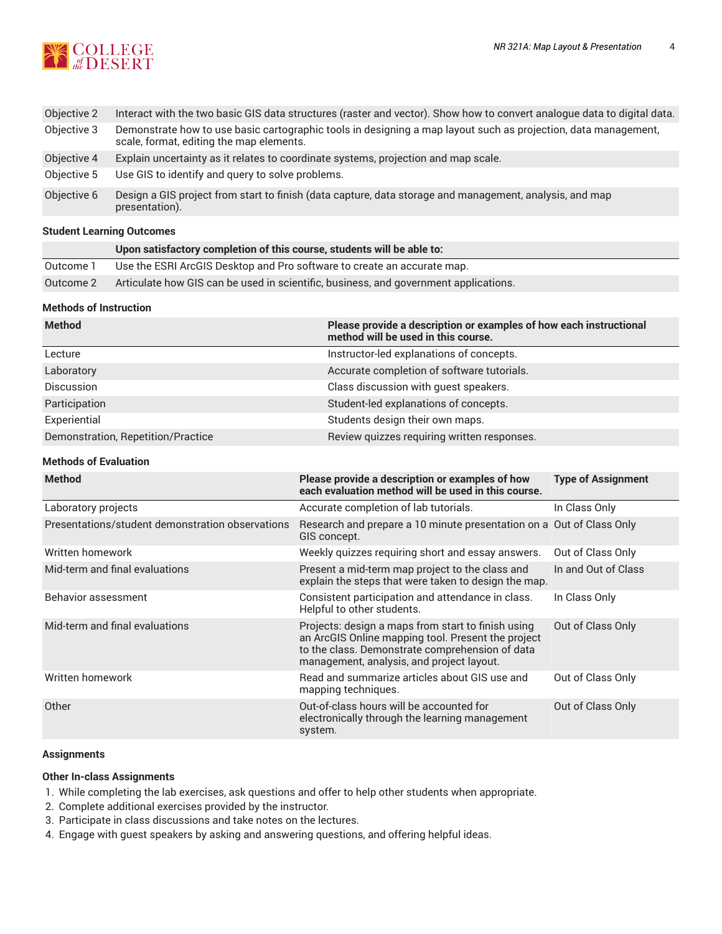

| Objective 2 | Interact with the two basic GIS data structures (raster and vector). Show how to convert analogue data to digital data.                                    |
|-------------|------------------------------------------------------------------------------------------------------------------------------------------------------------|
| Objective 3 | Demonstrate how to use basic cartographic tools in designing a map layout such as projection, data management,<br>scale, format, editing the map elements. |
| Objective 4 | Explain uncertainty as it relates to coordinate systems, projection and map scale.                                                                         |
| Objective 5 | Use GIS to identify and query to solve problems.                                                                                                           |
| Objective 6 | Design a GIS project from start to finish (data capture, data storage and management, analysis, and map<br>presentation).                                  |

## **Student Learning Outcomes**

|           | Upon satisfactory completion of this course, students will be able to:               |
|-----------|--------------------------------------------------------------------------------------|
| Outcome 1 | Use the ESRI ArcGIS Desktop and Pro software to create an accurate map.              |
| Outcome 2 | Articulate how GIS can be used in scientific, business, and government applications. |

## **Methods of Instruction**

| <b>Method</b>                      | Please provide a description or examples of how each instructional<br>method will be used in this course. |
|------------------------------------|-----------------------------------------------------------------------------------------------------------|
| Lecture                            | Instructor-led explanations of concepts.                                                                  |
| Laboratory                         | Accurate completion of software tutorials.                                                                |
| <b>Discussion</b>                  | Class discussion with guest speakers.                                                                     |
| Participation                      | Student-led explanations of concepts.                                                                     |
| Experiential                       | Students design their own maps.                                                                           |
| Demonstration, Repetition/Practice | Review quizzes requiring written responses.                                                               |

## **Methods of Evaluation**

| <b>Method</b>                                    | Please provide a description or examples of how<br>each evaluation method will be used in this course.                                                                                                   | <b>Type of Assignment</b> |
|--------------------------------------------------|----------------------------------------------------------------------------------------------------------------------------------------------------------------------------------------------------------|---------------------------|
| Laboratory projects                              | Accurate completion of lab tutorials.                                                                                                                                                                    | In Class Only             |
| Presentations/student demonstration observations | Research and prepare a 10 minute presentation on a Out of Class Only<br>GIS concept.                                                                                                                     |                           |
| Written homework                                 | Weekly quizzes requiring short and essay answers.                                                                                                                                                        | Out of Class Only         |
| Mid-term and final evaluations                   | Present a mid-term map project to the class and<br>explain the steps that were taken to design the map.                                                                                                  | In and Out of Class       |
| Behavior assessment                              | Consistent participation and attendance in class.<br>Helpful to other students.                                                                                                                          | In Class Only             |
| Mid-term and final evaluations                   | Projects: design a maps from start to finish using<br>an ArcGIS Online mapping tool. Present the project<br>to the class. Demonstrate comprehension of data<br>management, analysis, and project layout. | Out of Class Only         |
| Written homework                                 | Read and summarize articles about GIS use and<br>mapping techniques.                                                                                                                                     | Out of Class Only         |
| Other                                            | Out-of-class hours will be accounted for<br>electronically through the learning management<br>system.                                                                                                    | Out of Class Only         |

## **Assignments**

## **Other In-class Assignments**

- 1. While completing the lab exercises, ask questions and offer to help other students when appropriate.
- 2. Complete additional exercises provided by the instructor.
- 3. Participate in class discussions and take notes on the lectures.
- 4. Engage with guest speakers by asking and answering questions, and offering helpful ideas.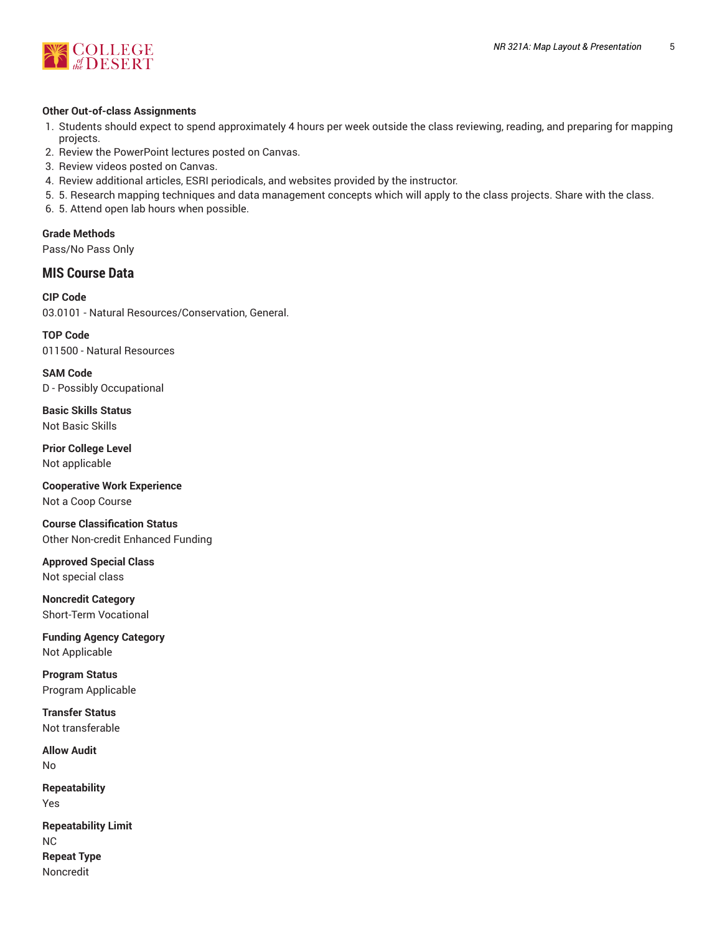

## **Other Out-of-class Assignments**

- 1. Students should expect to spend approximately 4 hours per week outside the class reviewing, reading, and preparing for mapping projects.
- 2. Review the PowerPoint lectures posted on Canvas.
- 3. Review videos posted on Canvas.
- 4. Review additional articles, ESRI periodicals, and websites provided by the instructor.
- 5. 5. Research mapping techniques and data management concepts which will apply to the class projects. Share with the class.
- 6. 5. Attend open lab hours when possible.

**Grade Methods** Pass/No Pass Only

# **MIS Course Data**

**CIP Code** 03.0101 - Natural Resources/Conservation, General.

**TOP Code** 011500 - Natural Resources

**SAM Code** D - Possibly Occupational

**Basic Skills Status** Not Basic Skills

**Prior College Level** Not applicable

**Cooperative Work Experience** Not a Coop Course

**Course Classification Status** Other Non-credit Enhanced Funding

**Approved Special Class** Not special class

**Noncredit Category** Short-Term Vocational

**Funding Agency Category** Not Applicable

**Program Status** Program Applicable

**Transfer Status** Not transferable

**Allow Audit** No

**Repeatability** Yes

**Repeatability Limit** NC **Repeat Type** Noncredit